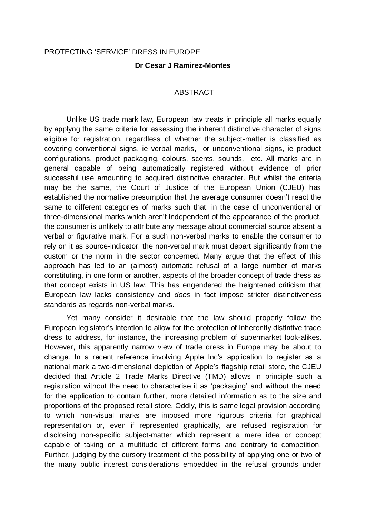## PROTECTING 'SERVICE' DRESS IN EUROPE

### **Dr Cesar J Ramirez-Montes**

### ABSTRACT

Unlike US trade mark law, European law treats in principle all marks equally by applyng the same criteria for assessing the inherent distinctive character of signs eligible for registration, regardless of whether the subject-matter is classified as covering conventional signs, ie verbal marks, or unconventional signs, ie product configurations, product packaging, colours, scents, sounds, etc. All marks are in general capable of being automatically registered without evidence of prior successful use amounting to acquired distinctive character. But whilst the criteria may be the same, the Court of Justice of the European Union (CJEU) has established the normative presumption that the average consumer doesn't react the same to different categories of marks such that, in the case of unconventional or three-dimensional marks which aren't independent of the appearance of the product, the consumer is unlikely to attribute any message about commercial source absent a verbal or figurative mark. For a such non-verbal marks to enable the consumer to rely on it as source-indicator, the non-verbal mark must depart significantly from the custom or the norm in the sector concerned. Many argue that the effect of this approach has led to an (almost) automatic refusal of a large number of marks constituting, in one form or another, aspects of the broader concept of trade dress as that concept exists in US law. This has engendered the heightened criticism that European law lacks consistency and *does* in fact impose stricter distinctiveness standards as regards non-verbal marks.

Yet many consider it desirable that the law should properly follow the European legislator's intention to allow for the protection of inherently distintive trade dress to address, for instance, the increasing problem of supermarket look-alikes. However, this apparently narrow view of trade dress in Europe may be about to change. In a recent reference involving Apple Inc's application to register as a national mark a two-dimensional depiction of Apple's flagship retail store, the CJEU decided that Article 2 Trade Marks Directive (TMD) allows in principle such a registration without the need to characterise it as 'packaging' and without the need for the application to contain further, more detailed information as to the size and proportions of the proposed retail store. Oddly, this is same legal provision according to which non-visual marks are imposed more rigurous criteria for graphical representation or, even if represented graphically, are refused registration for disclosing non-specific subject-matter which represent a mere idea or concept capable of taking on a multitude of different forms and contrary to competition. Further, judging by the cursory treatment of the possibility of applying one or two of the many public interest considerations embedded in the refusal grounds under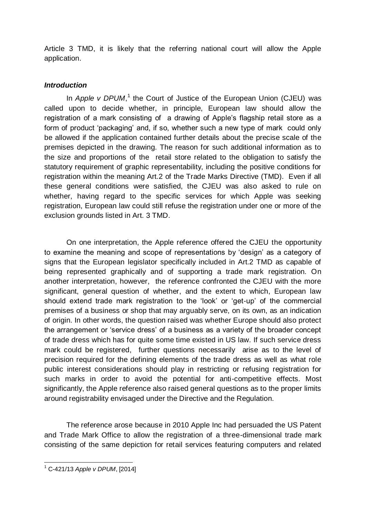Article 3 TMD, it is likely that the referring national court will allow the Apple application.

# *Introduction*

In Apple v DPUM,<sup>1</sup> the Court of Justice of the European Union (CJEU) was called upon to decide whether, in principle, European law should allow the registration of a mark consisting of a drawing of Apple's flagship retail store as a form of product 'packaging' and, if so, whether such a new type of mark could only be allowed if the application contained further details about the precise scale of the premises depicted in the drawing. The reason for such additional information as to the size and proportions of the retail store related to the obligation to satisfy the statutory requirement of graphic representability, including the positive conditions for registration within the meaning Art.2 of the Trade Marks Directive (TMD). Even if all these general conditions were satisfied, the CJEU was also asked to rule on whether, having regard to the specific services for which Apple was seeking registration, European law could still refuse the registration under one or more of the exclusion grounds listed in Art. 3 TMD.

On one interpretation, the Apple reference offered the CJEU the opportunity to examine the meaning and scope of representations by 'design' as a category of signs that the European legislator specifically included in Art.2 TMD as capable of being represented graphically and of supporting a trade mark registration. On another interpretation, however, the reference confronted the CJEU with the more significant, general question of whether, and the extent to which, European law should extend trade mark registration to the 'look' or 'get-up' of the commercial premises of a business or shop that may arguably serve, on its own, as an indication of origin. In other words, the question raised was whether Europe should also protect the arrangement or 'service dress' of a business as a variety of the broader concept of trade dress which has for quite some time existed in US law. If such service dress mark could be registered, further questions necessarily arise as to the level of precision required for the defining elements of the trade dress as well as what role public interest considerations should play in restricting or refusing registration for such marks in order to avoid the potential for anti-competitive effects. Most significantly, the Apple reference also raised general questions as to the proper limits around registrability envisaged under the Directive and the Regulation.

The reference arose because in 2010 Apple Inc had persuaded the US Patent and Trade Mark Office to allow the registration of a three-dimensional trade mark consisting of the same depiction for retail services featuring computers and related

<sup>-</sup><sup>1</sup> C-421/13 *Apple v DPUM*, [2014]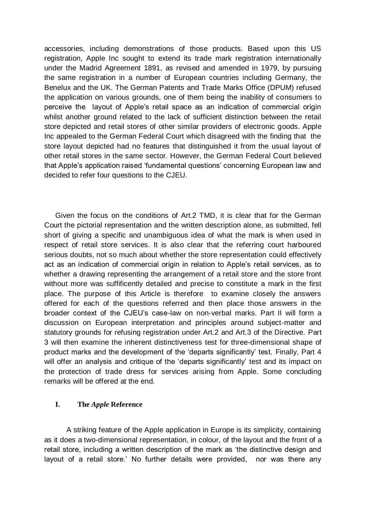accessories, including demonstrations of those products. Based upon this US registration, Apple Inc sought to extend its trade mark registration internationally under the Madrid Agreement 1891, as revised and amended in 1979, by pursuing the same registration in a number of European countries including Germany, the Benelux and the UK. The German Patents and Trade Marks Office (DPUM) refused the application on various grounds, one of them being the inability of consumers to perceive the layout of Apple's retail space as an indication of commercial origin whilst another ground related to the lack of sufficient distinction between the retail store depicted and retail stores of other similar providers of electronic goods. Apple Inc appealed to the German Federal Court which disagreed with the finding that the store layout depicted had no features that distinguished it from the usual layout of other retail stores in the same sector. However, the German Federal Court believed that Apple's application raised 'fundamental questions' concerning European law and decided to refer four questions to the CJEU.

Given the focus on the conditions of Art.2 TMD, it is clear that for the German Court the pictorial representation and the written description alone, as submitted, fell short of giving a specific and unambiguous idea of what the mark is when used in respect of retail store services. It is also clear that the referring court harboured serious doubts, not so much about whether the store representation could effectively act as an indication of commercial origin in relation to Apple's retail services, as to whether a drawing representing the arrangement of a retail store and the store front without more was suffificently detailed and precise to constitute a mark in the first place. The purpose of this Article is therefore to examine closely the answers offered for each of the questions referred and then place those answers in the broader context of the CJEU's case-law on non-verbal marks. Part II will form a discussion on European interpretation and principles around subject-matter and statutory grounds for refusing registration under Art.2 and Art.3 of the Directive. Part 3 will then examine the inherent distinctiveness test for three-dimensional shape of product marks and the development of the 'departs significantly' test. Finally, Part 4 will offer an analysis and critique of the 'departs significantly' test and its impact on the protection of trade dress for services arising from Apple. Some concluding remarks will be offered at the end.

## **I. The** *Apple* **Reference**

A striking feature of the Apple application in Europe is its simplicity, containing as it does a two-dimensional representation, in colour, of the layout and the front of a retail store, including a written description of the mark as 'the distinctive design and layout of a retail store.' No further details were provided, nor was there any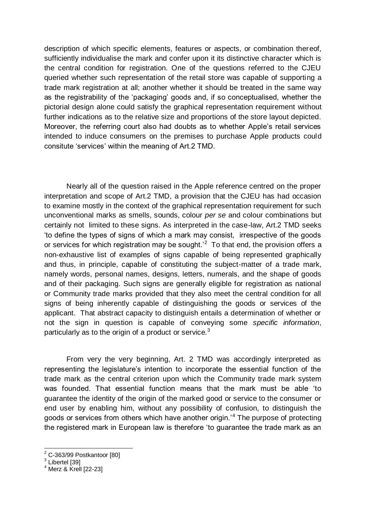description of which specific elements, features or aspects, or combination thereof, sufficiently individualise the mark and confer upon it its distinctive character which is the central condition for registration. One of the questions referred to the CJEU queried whether such representation of the retail store was capable of supporting a trade mark registration at all; another whether it should be treated in the same way as the registrability of the 'packaging' goods and, if so conceptualised, whether the pictorial design alone could satisfy the graphical representation requirement without further indications as to the relative size and proportions of the store layout depicted. Moreover, the referring court also had doubts as to whether Apple's retail services intended to induce consumers on the premises to purchase Apple products could consitute 'services' within the meaning of Art.2 TMD.

Nearly all of the question raised in the Apple reference centred on the proper interpretation and scope of Art.2 TMD, a provision that the CJEU has had occasion to examine mostly in the context of the graphical representation requirement for such unconventional marks as smells, sounds, colour *per se* and colour combinations but certainly not limited to these signs. As interpreted in the case-law, Art.2 TMD seeks 'to define the types of signs of which a mark may consist, irrespective of the goods or services for which registration may be sought. $2^2$  To that end, the provision offers a non-exhaustive list of examples of signs capable of being represented graphically and thus, in principle, capable of constituting the subject-matter of a trade mark, namely words, personal names, designs, letters, numerals, and the shape of goods and of their packaging. Such signs are generally eligible for registration as national or Community trade marks provided that they also meet the central condition for all signs of being inherently capable of distinguishing the goods or services of the applicant. That abstract capacity to distinguish entails a determination of whether or not the sign in question is capable of conveying some *specific information*, particularly as to the origin of a product or service. $3$ 

From very the very beginning, Art. 2 TMD was accordingly interpreted as representing the legislature's intention to incorporate the essential function of the trade mark as the central criterion upon which the Community trade mark system was founded. That essential function means that the mark must be able 'to guarantee the identity of the origin of the marked good or service to the consumer or end user by enabling him, without any possibility of confusion, to distinguish the goods or services from others which have another origin.'<sup>4</sup> The purpose of protecting the registered mark in European law is therefore 'to guarantee the trade mark as an

 $\overline{a}$ 

 $2$  C-363/99 Postkantoor [80]

 $^3$  Libertel [39]

<sup>4</sup> Merz & Krell [22-23]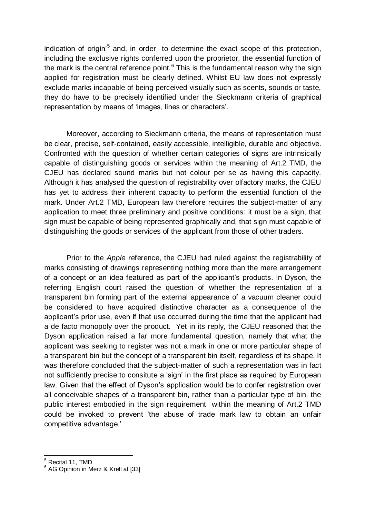indication of origin<sup>'5</sup> and, in order to determine the exact scope of this protection, including the exclusive rights conferred upon the proprietor, the essential function of the mark is the central reference point.<sup>6</sup> This is the fundamental reason why the sign applied for registration must be clearly defined. Whilst EU law does not expressly exclude marks incapable of being perceived visually such as scents, sounds or taste, they do have to be precisely identified under the Sieckmann criteria of graphical representation by means of 'images, lines or characters'.

Moreover, according to Sieckmann criteria, the means of representation must be clear, precise, self-contained, easily accessible, intelligible, durable and objective. Confronted with the question of whether certain categories of signs are intrinsically capable of distinguishing goods or services within the meaning of Art.2 TMD, the CJEU has declared sound marks but not colour per se as having this capacity. Although it has analysed the question of registrability over olfactory marks, the CJEU has yet to address their inherent capacity to perform the essential function of the mark. Under Art.2 TMD, European law therefore requires the subject-matter of any application to meet three preliminary and positive conditions: it must be a sign, that sign must be capable of being represented graphically and, that sign must capable of distinguishing the goods or services of the applicant from those of other traders.

Prior to the *Apple* reference, the CJEU had ruled against the registrability of marks consisting of drawings representing nothing more than the mere arrangement of a concept or an idea featured as part of the applicant's products. In Dyson, the referring English court raised the question of whether the representation of a transparent bin forming part of the external appearance of a vacuum cleaner could be considered to have acquired distinctive character as a consequence of the applicant's prior use, even if that use occurred during the time that the applicant had a de facto monopoly over the product. Yet in its reply, the CJEU reasoned that the Dyson application raised a far more fundamental question, namely that what the applicant was seeking to register was not a mark in one or more particular shape of a transparent bin but the concept of a transparent bin itself, regardless of its shape. It was therefore concluded that the subject-matter of such a representation was in fact not sufficiently precise to consitute a 'sign' in the first place as required by European law. Given that the effect of Dyson's application would be to confer registration over all conceivable shapes of a transparent bin, rather than a particular type of bin, the public interest embodied in the sign requirement within the meaning of Art.2 TMD could be invoked to prevent 'the abuse of trade mark law to obtain an unfair competitive advantage.'

-

<sup>&</sup>lt;sup>5</sup> Recital 11, TMD

<sup>&</sup>lt;sup>6</sup> AG Opinion in Merz & Krell at [33]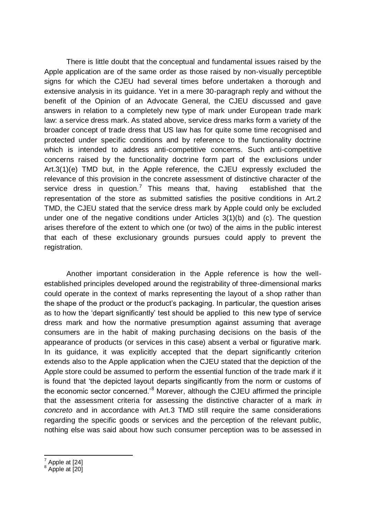There is little doubt that the conceptual and fundamental issues raised by the Apple application are of the same order as those raised by non-visually perceptible signs for which the CJEU had several times before undertaken a thorough and extensive analysis in its guidance. Yet in a mere 30-paragraph reply and without the benefit of the Opinion of an Advocate General, the CJEU discussed and gave answers in relation to a completely new type of mark under European trade mark law: a service dress mark. As stated above, service dress marks form a variety of the broader concept of trade dress that US law has for quite some time recognised and protected under specific conditions and by reference to the functionality doctrine which is intended to address anti-competitive concerns. Such anti-competitive concerns raised by the functionality doctrine form part of the exclusions under Art.3(1)(e) TMD but, in the Apple reference, the CJEU expressly excluded the relevance of this provision in the concrete assessment of distinctive character of the service dress in question.<sup>7</sup> This means that, having established that the representation of the store as submitted satisfies the positive conditions in Art.2 TMD, the CJEU stated that the service dress mark by Apple could only be excluded under one of the negative conditions under Articles 3(1)(b) and (c). The question arises therefore of the extent to which one (or two) of the aims in the public interest that each of these exclusionary grounds pursues could apply to prevent the registration.

Another important consideration in the Apple reference is how the wellestablished principles developed around the registrability of three-dimensional marks could operate in the context of marks representing the layout of a shop rather than the shape of the product or the product's packaging. In particular, the question arises as to how the 'depart significantly' test should be applied to this new type of service dress mark and how the normative presumption against assuming that average consumers are in the habit of making purchasing decisions on the basis of the appearance of products (or services in this case) absent a verbal or figurative mark. In its guidance, it was explicitly accepted that the depart significantly criterion extends also to the Apple application when the CJEU stated that the depiction of the Apple store could be assumed to perform the essential function of the trade mark if it is found that 'the depicted layout departs singificantly from the norm or customs of the economic sector concerned.<sup>8</sup> Morever, although the CJEU affirmed the principle that the assessment criteria for assessing the distinctive character of a mark *in concreto* and in accordance with Art.3 TMD still require the same considerations regarding the specific goods or services and the perception of the relevant public, nothing else was said about how such consumer perception was to be assessed in

<sup>———————&</sup>lt;br><sup>7</sup> Apple at [24]

<sup>&</sup>lt;sup>8</sup> Apple at [20]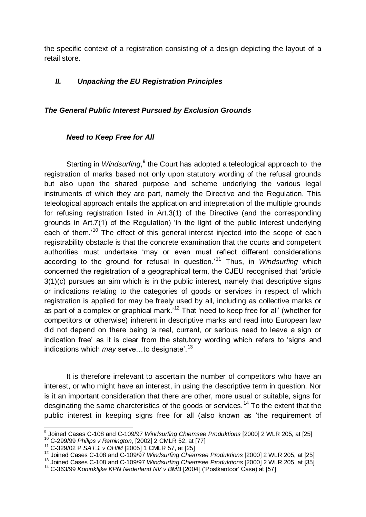the specific context of a registration consisting of a design depicting the layout of a retail store.

# *II. Unpacking the EU Registration Principles*

## *The General Public Interest Pursued by Exclusion Grounds*

## *Need to Keep Free for All*

Starting in Windsurfing,<sup>9</sup> the Court has adopted a teleological approach to the registration of marks based not only upon statutory wording of the refusal grounds but also upon the shared purpose and scheme underlying the various legal instruments of which they are part, namely the Directive and the Regulation. This teleological approach entails the application and intepretation of the multiple grounds for refusing registration listed in Art.3(1) of the Directive (and the corresponding grounds in Art.7(1) of the Regulation) 'in the light of the public interest underlying each of them.<sup>'10</sup> The effect of this general interest injected into the scope of each registrability obstacle is that the concrete examination that the courts and competent authorities must undertake 'may or even must reflect different considerations according to the ground for refusal in question.'<sup>11</sup> Thus, in *Windsurfing* which concerned the registration of a geographical term, the CJEU recognised that 'article 3(1)(c) pursues an aim which is in the public interest, namely that descriptive signs or indications relating to the categories of goods or services in respect of which registration is applied for may be freely used by all, including as collective marks or as part of a complex or graphical mark.<sup>12</sup> That 'need to keep free for all' (whether for competitors or otherwise) inherent in descriptive marks and read into European law did not depend on there being 'a real, current, or serious need to leave a sign or indication free' as it is clear from the statutory wording which refers to 'signs and indications which *may* serve…to designate'.<sup>13</sup>

It is therefore irrelevant to ascertain the number of competitors who have an interest, or who might have an interest, in using the descriptive term in question. Nor is it an important consideration that there are other, more usual or suitable, signs for desginating the same charcteristics of the goods or services.<sup>14</sup> To the extent that the public interest in keeping signs free for all (also known as 'the requirement of

 9 Joined Cases C-108 and C-109/97 *Windsurfing Chiemsee Produktions* [2000] 2 WLR 205, at [25]

<sup>10</sup> C-299/99 *Philips v Remington*, [2002] 2 CMLR 52, at [77]

<sup>11</sup> C-329/02 P *SAT.1 v OHIM* [2005] 1 CMLR 57, at [25]

<sup>12</sup> Joined Cases C-108 and C-109/97 *Windsurfing Chiemsee Produktions* [2000] 2 WLR 205, at [25]

<sup>13</sup> Joined Cases C-108 and C-109/97 *Windsurfing Chiemsee Produktions* [2000] 2 WLR 205, at [35]

<sup>&</sup>lt;sup>14</sup> C-363/99 *Koninklijke KPN Nederland NV v BMB* [2004] ('Postkantoor' Case) at [57]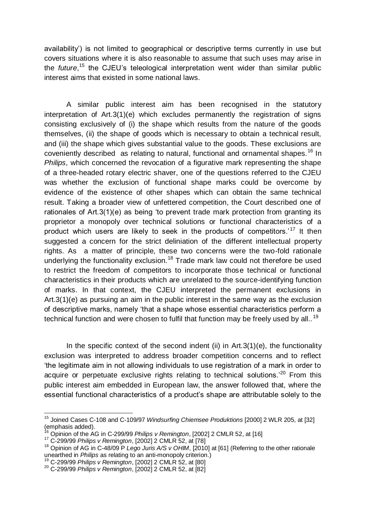availability') is not limited to geographical or descriptive terms currently in use but covers situations where it is also reasonable to assume that such uses may arise in the *future*, <sup>15</sup> the CJEU's teleological interpretation went wider than similar public interest aims that existed in some national laws.

A similar public interest aim has been recognised in the statutory interpretation of Art.3(1)(e) which excludes permanently the registration of signs consisting exclusively of (i) the shape which results from the nature of the goods themselves, (ii) the shape of goods which is necessary to obtain a technical result, and (iii) the shape which gives substantial value to the goods. These exclusions are coveniently described as relating to natural, functional and ornamental shapes.<sup>16</sup> In *Philips*, which concerned the revocation of a figurative mark representing the shape of a three-headed rotary electric shaver, one of the questions referred to the CJEU was whether the exclusion of functional shape marks could be overcome by evidence of the existence of other shapes which can obtain the same technical result. Taking a broader view of unfettered competition, the Court described one of rationales of Art.3(1)(e) as being 'to prevent trade mark protection from granting its proprietor a monopoly over technical solutions or functional characteristics of a product which users are likely to seek in the products of competitors.<sup>17</sup> It then suggested a concern for the strict deliniation of the different intellectual property rights. As a matter of principle, these two concerns were the two-fold rationale underlying the functionality exclusion.<sup>18</sup> Trade mark law could not therefore be used to restrict the freedom of competitors to incorporate those technical or functional characteristics in their products which are unrelated to the source-identifying function of marks. In that context, the CJEU interpreted the permanent exclusions in Art.3(1)(e) as pursuing an aim in the public interest in the same way as the exclusion of descriptive marks, namely 'that a shape whose essential characteristics perform a technical function and were chosen to fulfil that function may be freely used by all..<sup>19</sup>

In the specific context of the second indent (ii) in  $Art.3(1)(e)$ , the functionality exclusion was interpreted to address broader competition concerns and to reflect 'the legitimate aim in not allowing individuals to use registration of a mark in order to acquire or perpetuate exclusive rights relating to technical solutions.<sup>'20</sup> From this public interest aim embedded in European law, the answer followed that, where the essential functional characteristics of a product's shape are attributable solely to the

 $\overline{a}$ <sup>15</sup> Joined Cases C-108 and C-109/97 *Windsurfing Chiemsee Produktions* [2000] 2 WLR 205, at [32] (emphasis added).

<sup>16</sup> Opinion of the AG in C-299/99 *Philips v Remington*, [2002] 2 CMLR 52, at [16]

<sup>17</sup> C-299/99 *Philips v Remington*, [2002] 2 CMLR 52, at [78]

<sup>18</sup> Opinion of AG in C-48/09 P *Lego Juris A/S v OHIM*, [2010] at [61] (Referring to the other rationale unearthed in *Philips* as relating to an anti-monopoly criterion.)

<sup>19</sup> C-299/99 *Philips v Remington*, [2002] 2 CMLR 52, at [80]

<sup>20</sup> C-299/99 *Philips v Remington*, [2002] 2 CMLR 52, at [82]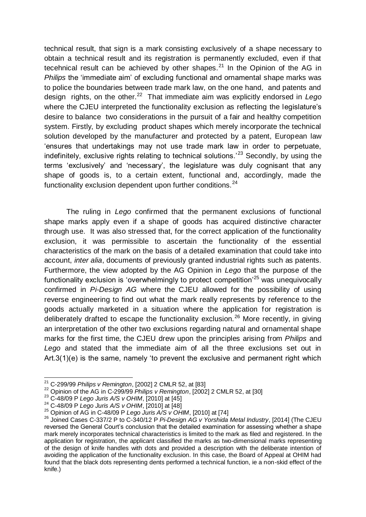technical result, that sign is a mark consisting exclusively of a shape necessary to obtain a technical result and its registration is permanently excluded, even if that tecehnical result can be achieved by other shapes. $^{21}$  In the Opinion of the AG in *Philips* the 'immediate aim' of excluding functional and ornamental shape marks was to police the boundaries between trade mark law, on the one hand, and patents and design rights, on the other.<sup>22</sup> That immediate aim was explicitly endorsed in Lego where the CJEU interpreted the functionality exclusion as reflecting the legislature's desire to balance two considerations in the pursuit of a fair and healthy competition system. Firstly, by excluding product shapes which merely incorporate the technical solution developed by the manufacturer and protected by a patent, European law 'ensures that undertakings may not use trade mark law in order to perpetuate, indefinitely, exclusive rights relating to technical solutions.<sup>23</sup> Secondly, by using the terms 'exclusively' and 'necessary', the legislature was duly cognisant that any shape of goods is, to a certain extent, functional and, accordingly, made the functionality exclusion dependent upon further conditions.<sup>24</sup>

The ruling in *Lego* confirmed that the permanent exclusions of functional shape marks apply even if a shape of goods has acquired distinctive character through use. It was also stressed that, for the correct application of the functionality exclusion, it was permissible to ascertain the functionality of the essential characteristics of the mark on the basis of a detailed examination that could take into account, *inter alia*, documents of previously granted industrial rights such as patents. Furthermore, the view adopted by the AG Opinion in *Lego* that the purpose of the functionality exclusion is 'overwhelmingly to protect competition'<sup>25</sup> was unequivocally confirmed in *Pi-Design AG* where the CJEU allowed for the possibility of using reverse engineering to find out what the mark really represents by reference to the goods actually marketed in a situation where the application for registration is deliberately drafted to escape the functionality exclusion.<sup>26</sup> More recently, in giving an interpretation of the other two exclusions regarding natural and ornamental shape marks for the first time, the CJEU drew upon the principles arising from *Philips* and Lego and stated that the immediate aim of all the three exclusions set out in Art.3(1)(e) is the same, namely 'to prevent the exclusive and permanent right which

 $\overline{a}$ 

<sup>21</sup> C-299/99 *Philips v Remington*, [2002] 2 CMLR 52, at [83]

<sup>22</sup> Opinion of the AG in C-299/99 *Philips v Remington*, [2002] 2 CMLR 52, at [30]

<sup>23</sup> C-48/09 P *Lego Juris A/S v OHIM*, [2010] at [45]

<sup>24</sup> C-48/09 P *Lego Juris A/S v OHIM*, [2010] at [48]

<sup>25</sup> Opinion of AG in C-48/09 P *Lego Juris A/S v OHIM*, [2010] at [74]

<sup>26</sup> Joined Cases C-337/2 P to C-340/12 P *Pi-Design AG v Yorshida Metal Industry*, [2014] (The CJEU reversed the General Court's conclusion that the detailed examination for assessing whether a shape mark merely incorporates technical characteristics is limited to the mark as filed and registered. In the application for registration, the applicant classified the marks as two-dimensional marks representing of the design of knife handles with dots and provided a description with the deliberate intention of avoiding the application of the functionality exclusion. In this case, the Board of Appeal at OHIM had found that the black dots representing dents performed a technical function, ie a non-skid effect of the knife.)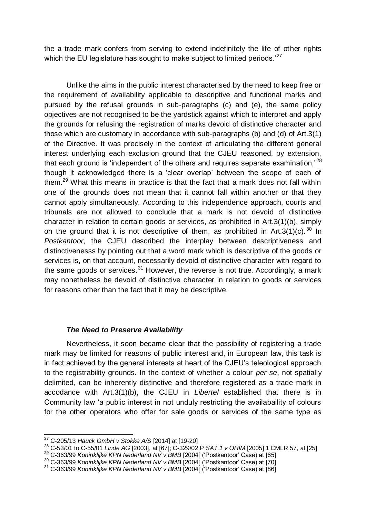the a trade mark confers from serving to extend indefinitely the life of other rights which the EU legislature has sought to make subject to limited periods.<sup>27</sup>

Unlike the aims in the public interest characterised by the need to keep free or the requirement of availability applicable to descriptive and functional marks and pursued by the refusal grounds in sub-paragraphs (c) and (e), the same policy objectives are not recognised to be the yardstick against which to interpret and apply the grounds for refusing the registration of marks devoid of distinctive character and those which are customary in accordance with sub-paragraphs (b) and (d) of Art.3(1) of the Directive. It was precisely in the context of articulating the different general interest underlying each exclusion ground that the CJEU reasoned, by extension, that each ground is 'independent of the others and requires separate examination,'  $^{28}$ though it acknowledged there is a 'clear overlap' between the scope of each of them.<sup>29</sup> What this means in practice is that the fact that a mark does not fall within one of the grounds does not mean that it cannot fall within another or that they cannot apply simultaneously. According to this independence approach, courts and tribunals are not allowed to conclude that a mark is not devoid of distinctive character in relation to certain goods or services, as prohibited in Art.3(1)(b), simply on the ground that it is not descriptive of them, as prohibited in Art.3(1)(c).<sup>30</sup> In *Postkantoor*, the CJEU described the interplay between descriptiveness and distinctivenesss by pointing out that a word mark which is descriptive of the goods or services is, on that account, necessarily devoid of distinctive character with regard to the same goods or services.  $31$  However, the reverse is not true. Accordingly, a mark may nonetheless be devoid of distinctive character in relation to goods or services for reasons other than the fact that it may be descriptive.

### *The Need to Preserve Availability*

Nevertheless, it soon became clear that the possibility of registering a trade mark may be limited for reasons of public interest and, in European law, this task is in fact achieved by the general interests at heart of the CJEU's teleological approach to the registrability grounds. In the context of whether a colour *per se*, not spatially delimited, can be inherently distinctive and therefore registered as a trade mark in accodance with Art.3(1)(b), the CJEU in *Libertel* established that there is in Community law 'a public interest in not unduly restricting the availabaility of colours for the other operators who offer for sale goods or services of the same type as

 $\overline{a}$ 

<sup>27</sup> C-205/13 *Hauck GmbH v Stokke A/S* [2014] at [19-20]

<sup>28</sup> C-53/01 to C-55/01 *Linde AG* [2003], at [67]; C-329/02 P *SAT.1 v OHIM* [2005] 1 CMLR 57, at [25]

<sup>29</sup> C-363/99 *Koninklijke KPN Nederland NV v BMB* [2004[ ('Postkantoor' Case) at [65]

<sup>30</sup> C-363/99 *Koninklijke KPN Nederland NV v BMB* [2004[ ('Postkantoor' Case) at [70]

<sup>31</sup> C-363/99 *Koninklijke KPN Nederland NV v BMB* [2004[ ('Postkantoor' Case) at [86]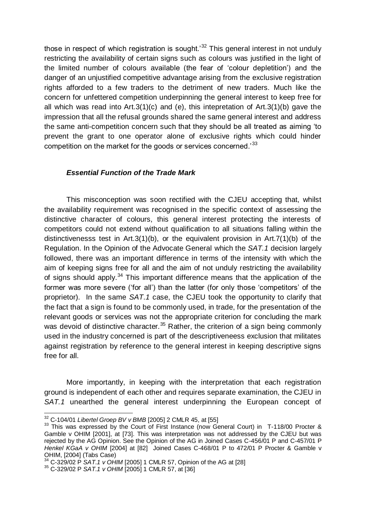those in respect of which registration is sought.<sup>32</sup> This general interest in not unduly restricting the availability of certain signs such as colours was justified in the light of the limited number of colours available (the fear of 'colour depletition') and the danger of an unjustified competitive advantage arising from the exclusive registration rights afforded to a few traders to the detriment of new traders. Much like the concern for unfettered competition underpinning the general interest to keep free for all which was read into Art.3(1)(c) and (e), this intepretation of Art.3(1)(b) gave the impression that all the refusal grounds shared the same general interest and address the same anti-competition concern such that they should be all treated as aiming 'to prevent the grant to one operator alone of exclusive rights which could hinder competition on the market for the goods or services concerned.<sup>33</sup>

## *Essential Function of the Trade Mark*

This misconception was soon rectified with the CJEU accepting that, whilst the availability requirement was recognised in the specific context of assessing the distinctive character of colours, this general interest protecting the interests of competitors could not extend without qualification to all situations falling within the distinctivenesss test in Art.3(1)(b), or the equivalent provision in Art.7(1)(b) of the Regulation. In the Opinion of the Advocate General which the *SAT.1* decision largely followed, there was an important difference in terms of the intensity with which the aim of keeping signs free for all and the aim of not unduly restricting the availability of signs should apply.<sup>34</sup> This important difference means that the application of the former was more severe ('for all') than the latter (for only those 'competitors' of the proprietor). In the same *SAT.1* case, the CJEU took the opportunity to clarify that the fact that a sign is found to be commonly used, in trade, for the presentation of the relevant goods or services was not the appropriate criterion for concluding the mark was devoid of distinctive character.<sup>35</sup> Rather, the criterion of a sign being commonly used in the industry concerned is part of the descriptiveneess exclusion that militates against registration by reference to the general interest in keeping descriptive signs free for all.

More importantly, in keeping with the interpretation that each registration ground is independent of each other and requires separate examination, the CJEU in SAT.1 unearthed the general interest underpinning the European concept of

 $\overline{a}$ <sup>32</sup> C-104/01 *Libertel Groep BV v BMB* [2005] 2 CMLR 45, at [55]

<sup>&</sup>lt;sup>33</sup> This was expressed by the Court of First Instance (now General Court) in T-118/00 Procter & Gamble v OHIM [2001], at [73]. This was interpretation was not addressed by the CJEU but was rejected by the AG Opinion. See the Opinion of the AG in Joined Cases C-456/01 P and C-457/01 P *Henkel KGaA v OHIM* [2004] at [82] Joined Cases C-468/01 P to 472/01 P Procter & Gamble v OHIM, [2004] (Tabs Case)

<sup>&</sup>lt;sup>34</sup> C-329/02 P *SAT.1 v OHIM* [2005] 1 CMLR 57, Opinion of the AG at [28]

<sup>35</sup> C-329/02 P *SAT.1 v OHIM* [2005] 1 CMLR 57, at [36]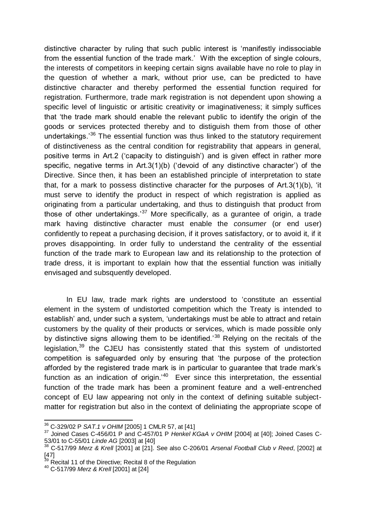distinctive character by ruling that such public interest is 'manifestly indissociable from the essential function of the trade mark.' With the exception of single colours, the interests of competitors in keeping certain signs available have no role to play in the question of whether a mark, without prior use, can be predicted to have distinctive character and thereby performed the essential function required for registration. Furthermore, trade mark registration is not dependent upon showing a specific level of linguistic or artisitic creativity or imaginativeness; it simply suffices that 'the trade mark should enable the relevant public to identify the origin of the goods or services protected thereby and to distiguish them from those of other undertakings.<sup>36</sup> The essential function was thus linked to the statutory requirement of distinctiveness as the central condition for registrability that appears in general, positive terms in Art.2 ('capacity to distinguish') and is given effect in rather more specific, negative terms in Art.3(1)(b) ('devoid of any distinctive character') of the Directive. Since then, it has been an established principle of interpretation to state that, for a mark to possess distinctive character for the purposes of Art.3(1)(b), 'it must serve to identify the product in respect of which registration is applied as originating from a particular undertaking, and thus to distinguish that product from those of other undertakings.<sup>37</sup> More specifically, as a gurantee of origin, a trade mark having distinctive character must enable the *consumer* (or end user) confidently to repeat a purchasing decision, if it proves satisfactory, or to avoid it, if it proves disappointing. In order fully to understand the centrality of the essential function of the trade mark to European law and its relationship to the protection of trade dress, it is important to explain how that the essential function was initially envisaged and subsquently developed.

In EU law, trade mark rights are understood to 'constitute an essential element in the system of undistorted competition which the Treaty is intended to establish' and, under such a system, 'undertakings must be able to attract and retain customers by the quality of their products or services, which is made possible only by distinctive signs allowing them to be identified.<sup>38</sup> Relying on the recitals of the legislation,<sup>39</sup> the CJEU has consistently stated that this system of undistorted competition is safeguarded only by ensuring that 'the purpose of the protection afforded by the registered trade mark is in particular to guarantee that trade mark's function as an indication of origin.<sup>40</sup> Ever since this interpretation, the essential function of the trade mark has been a prominent feature and a well-entrenched concept of EU law appearing not only in the context of defining suitable subjectmatter for registration but also in the context of deliniating the appropriate scope of

 $\overline{a}$ <sup>36</sup> C-329/02 P *SAT.1 v OHIM* [2005] 1 CMLR 57, at [41]

<sup>37</sup> Joined Cases C-456/01 P and C-457/01 P *Henkel KGaA v OHIM* [2004] at [40]; Joined Cases C-53/01 to C-55/01 *Linde AG* [2003] at [40]

<sup>38</sup> C-517/99 *Merz & Krell* [2001] at [21]. See also C-206/01 *Arsenal Football Club v Reed*, [2002] at  $\begin{bmatrix} 47 \\ 39 \end{bmatrix}$ 

Recital 11 of the Directive; Recital 8 of the Regulation

<sup>40</sup> C-517/99 *Merz & Krell* [2001] at [24]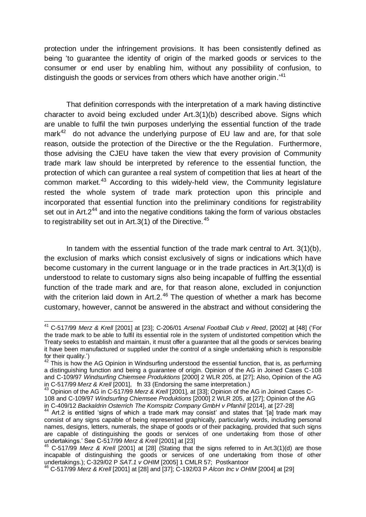protection under the infringement provisions. It has been consistently defined as being 'to guarantee the identity of origin of the marked goods or services to the consumer or end user by enabling him, without any possibility of confusion, to distinguish the goods or services from others which have another origin.<sup>41</sup>

That definition corresponds with the interpretation of a mark having distinctive character to avoid being excluded under Art.3(1)(b) described above. Signs which are unable to fulfil the twin purposes underlying the essential function of the trade mark<sup>42</sup> do not advance the underlying purpose of EU law and are, for that sole reason, outside the protection of the Directive or the the Regulation. Furthermore, those advising the CJEU have taken the view that every provision of Community trade mark law should be interpreted by reference to the essential function, the protection of which can gurantee a real system of competition that lies at heart of the common market.<sup>43</sup> According to this widely-held view, the Community legislature rested the whole system of trade mark protection upon this principle and incorporated that essential function into the preliminary conditions for registrability set out in Art. $2^{44}$  and into the negative conditions taking the form of various obstacles to registrability set out in Art.  $3(1)$  of the Directive.<sup>45</sup>

In tandem with the essential function of the trade mark central to Art.  $3(1)(b)$ , the exclusion of marks which consist exclusively of signs or indications which have become customary in the current language or in the trade practices in Art.3(1)(d) is understood to relate to customary signs also being incapable of fulffing the essential function of the trade mark and are, for that reason alone, excluded in conjunction with the criterion laid down in Art.2.<sup>46</sup> The question of whether a mark has become customary, however, cannot be answered in the abstract and without considering the

 $\overline{\phantom{a}}$ <sup>41</sup> C-517/99 *Merz & Krell* [2001] at [23]; C-206/01 *Arsenal Football Club v Reed*, [2002] at [48] ('For the trade mark to be able to fulfil its essential role in the system of undistorted competition which the Treaty seeks to establish and maintain, it must offer a guarantee that all the goods or services bearing it have been manufactured or supplied under the control of a single undertaking which is responsible for their quality.')

 $42$  This is how the AG Opinion in Windsurfing understood the essential function, that is, as perfurming a distinguishing function and being a guarantee of origin. Opinion of the AG in Joined Cases C-108 and C-109/97 *Windsurfing Chiemsee Produktions* [2000] 2 WLR 205, at [27]; Also, Opinion of the AG in C-517/99 *Merz & Krell* [2001], fn 33 (Endorsing the same interpretation.)

<sup>&</sup>lt;sup>3</sup> Opinion of the AG in C-517/99 *Merz & Krell* [2001], at [33]; Opinion of the AG in Joined Cases C-108 and C-109/97 *Windsurfing Chiemsee Produktions* [2000] 2 WLR 205, at [27]; Opinion of the AG in C-409/12 *Backaldrin Osterrich The Kornspitz Company GmbH v Pfanhil* [2014], at [27-28]

Art.2 is entitled 'signs of which a trade mark may consist' and states that '[a] trade mark may consist of any signs capable of being represented graphically, particularly words, including personal names, designs, letters, numerals, the shape of goods or of their packaging, provided that such signs are capable of distinguishing the goods or services of one undertaking from those of other undertakings.' See C-517/99 *Merz & Krell* [2001] at [23]

<sup>45</sup> C-517/99 *Merz & Krell* [2001] at [28] (Stating that the signs referred to in Art.3(1)(d) are those incapable of distinguishing the goods or services of one undertaking from those of other undertakings.); C-329/02 P *SAT.1 v OHIM* [2005] 1 CMLR 57; Postkantoor

<sup>46</sup> C-517/99 *Merz & Krell* [2001] at [28] and [37]; C-192/03 P *Alcon Inc v OHIM* [2004] at [29]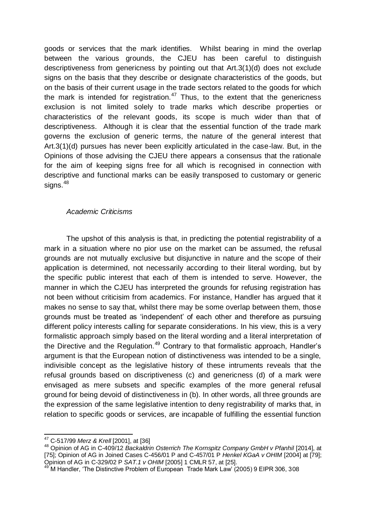goods or services that the mark identifies. Whilst bearing in mind the overlap between the various grounds, the CJEU has been careful to distinguish descriptiveness from genericness by pointing out that Art.3(1)(d) does not exclude signs on the basis that they describe or designate characteristics of the goods, but on the basis of their current usage in the trade sectors related to the goods for which the mark is intended for registration.<sup>47</sup> Thus, to the extent that the genericness exclusion is not limited solely to trade marks which describe properties or characteristics of the relevant goods, its scope is much wider than that of descriptiveness. Although it is clear that the essential function of the trade mark governs the exclusion of generic terms, the nature of the general interest that Art.3(1)(d) pursues has never been explicitly articulated in the case-law. But, in the Opinions of those advising the CJEU there appears a consensus that the rationale for the aim of keeping signs free for all which is recognised in connection with descriptive and functional marks can be easily transposed to customary or generic signs.<sup>48</sup>

## *Academic Criticisms*

The upshot of this analysis is that, in predicting the potential registrability of a mark in a situation where no pior use on the market can be assumed, the refusal grounds are not mutually exclusive but disjunctive in nature and the scope of their application is determined, not necessarily according to their literal wording, but by the specific public interest that each of them is intended to serve. However, the manner in which the CJEU has interpreted the grounds for refusing registration has not been without criticisim from academics. For instance, Handler has argued that it makes no sense to say that, whilst there may be some overlap between them, those grounds must be treated as 'independent' of each other and therefore as pursuing different policy interests calling for separate considerations. In his view, this is a very formalistic approach simply based on the literal wording and a literal interpretation of the Directive and the Regulation.<sup>49</sup> Contrary to that formalistic approach, Handler's argument is that the European notion of distinctiveness was intended to be a single, indivisible concept as the legislative history of these intruments reveals that the refusal grounds based on discriptiveness (c) and genericness (d) of a mark were envisaged as mere subsets and specific examples of the more general refusal ground for being devoid of distinctiveness in (b). In other words, all three grounds are the expression of the same legislative intention to deny registrability of marks that, in relation to specific goods or services, are incapable of fulfilling the essential function

 $\overline{a}$ 

<sup>47</sup> C-517/99 *Merz & Krell* [2001], at [36]

<sup>48</sup> Opinion of AG in C-409/12 *Backaldrin Osterrich The Kornspitz Company GmbH v Pfanhil* [2014], at [75]; Opinion of AG in Joined Cases C-456/01 P and C-457/01 P *Henkel KGaA v OHIM* [2004] at [79]; Opinion of AG in C-329/02 P *SAT.1 v OHIM* [2005] 1 CMLR 57, at [25].

M Handler, 'The Distinctive Problem of European Trade Mark Law' (2005) 9 EIPR 306, 308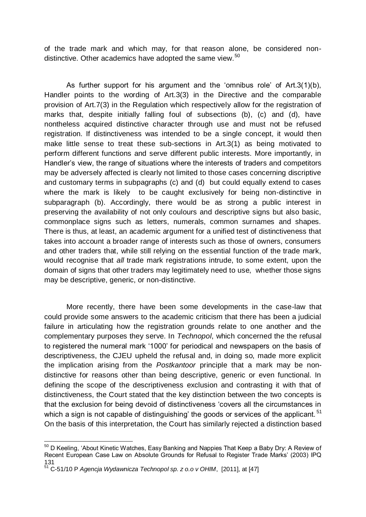of the trade mark and which may, for that reason alone, be considered nondistinctive. Other academics have adopted the same view.<sup>50</sup>

As further support for his argument and the 'omnibus role' of Art.3(1)(b), Handler points to the wording of Art.3(3) in the Directive and the comparable provision of Art.7(3) in the Regulation which respectively allow for the registration of marks that, despite initially falling foul of subsections (b), (c) and (d), have nontheless acquired distinctive character through use and must not be refused registration. If distinctiveness was intended to be a single concept, it would then make little sense to treat these sub-sections in Art.3(1) as being motivated to perform different functions and serve different public interests. More importantly, in Handler's view, the range of situations where the interests of traders and competitors may be adversely affected is clearly not limited to those cases concerning discriptive and customary terms in subpagraphs (c) and (d) but could equally extend to cases where the mark is likely to be caught exclusively for being non-distinctive in subparagraph (b). Accordingly, there would be as strong a public interest in preserving the availability of not only coulours and descriptive signs but also basic, commonplace signs such as letters, numerals, common surnames and shapes. There is thus, at least, an academic argument for a unified test of distinctiveness that takes into account a broader range of interests such as those of owners, consumers and other traders that, while still relying on the essential function of the trade mark, would recognise that *all* trade mark registrations intrude, to some extent, upon the domain of signs that other traders may legitimately need to use, whether those signs may be descriptive, generic, or non-distinctive.

More recently, there have been some developments in the case-law that could provide some answers to the academic criticism that there has been a judicial failure in articulating how the registration grounds relate to one another and the complementary purposes they serve. In *Technopol*, which concerned the the refusal to registered the numeral mark '1000' for periodical and newspapers on the basis of descriptiveness, the CJEU upheld the refusal and, in doing so, made more explicit the implication arising from the *Postkantoor* principle that a mark may be nondistinctive for reasons other than being descriptive, generic or even functional. In defining the scope of the descriptiveness exclusion and contrasting it with that of distinctiveness, the Court stated that the key distinction between the two concepts is that the exclusion for being devoid of distinctiveness 'covers all the circumstances in which a sign is not capable of distinguishing' the goods or services of the applicant.<sup>51</sup> On the basis of this interpretation, the Court has similarly rejected a distinction based

 $\overline{a}$  $50$  D Keeling, 'About Kinetic Watches, Easy Banking and Nappies That Keep a Baby Dry: A Review of Recent European Case Law on Absolute Grounds for Refusal to Register Trade Marks' (2003) IPQ 131

<sup>51</sup> C-51/10 P *Agencja Wydawnicza Technopol sp. z o.o v OHIM*, [2011], at [47]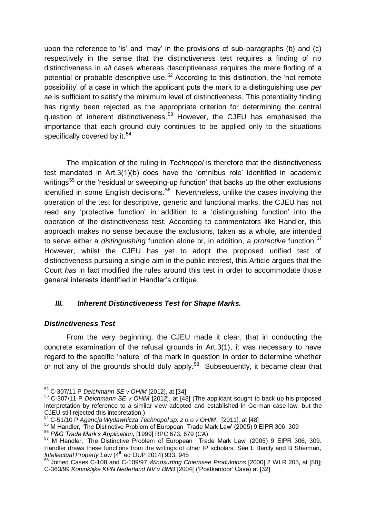upon the reference to 'is' and 'may' in the provisions of sub-paragraphs (b) and (c) respectively in the sense that the distinctiveness test requires a finding of no distinctiveness in *all* cases whereas descriptiveness requires the mere finding of a potential or probable descriptive use.<sup>52</sup> According to this distinction, the 'not remote possibility' of a case in which the applicant puts the mark to a distinguishing use *per se* is sufficient to satisfy the minimum level of distinctiveness. This potentiality finding has rightly been rejected as the appropriate criterion for determining the central question of inherent distinctiveness.<sup>53</sup> However, the CJEU has emphasised the importance that each ground duly continues to be applied only to the situations specifically covered by it.<sup>54</sup>

The implication of the ruling in *Technopol* is therefore that the distinctiveness test mandated in Art.3(1)(b) does have the 'omnibus role' identified in academic writings<sup>55</sup> or the 'residual or sweeping-up function' that backs up the other exclusions identified in some English decisions.<sup>56</sup> Nevertheless, unlike the cases involving the operation of the test for descriptive, generic and functional marks, the CJEU has not read any 'protective function' in addition to a 'distinguishing function' into the operation of the distinctiveness test. According to commentators like Handler, this approach makes no sense because the exclusions, taken as a whole, are intended to serve either a *distinguishing* function alone or, in addition, a *protective* function.<sup>57</sup> However, whilst the CJEU has yet to adopt the proposed unified test of distinctiveness pursuing a single aim in the public interest, this Article argues that the Court *has* in fact modified the rules around this test in order to accommodate those general interests identified in Handler's critique.

# *III. Inherent Distinctiveness Test for Shape Marks.*

# *Distinctiveness Test*

From the very beginning, the CJEU made it clear, that in conducting the concrete examination of the refusal grounds in Art.3(1), it was necessary to have regard to the specific 'nature' of the mark in question in order to determine whether or not any of the grounds should duly apply.<sup>58</sup> Subsequently, it became clear that

 $\overline{a}$ <sup>52</sup> C-307/11 P *Deichmann SE v OHIM* [2012], at [34]

<sup>53</sup> C-307/11 P *Deichmann SE v OHIM* [2012], at [48] (The applicant sought to back up his proposed interpretation by reference to a similar view adopted and established in German case-law, but the CJEU still rejected this intepretation.)

<sup>54</sup> C-51/10 P *Agencja Wydawnicza Technopol sp. z o.o v OHIM*, [2011], at [48]

<sup>55</sup> M Handler, 'The Distinctive Problem of European Trade Mark Law' (2005) 9 EIPR 306, 309

<sup>56</sup> *P&G Trade Mark's Application*, [1999] RPC 673, 679 (CA)

<sup>&</sup>lt;sup>57</sup> M Handler, 'The Distinctive Problem of European Trade Mark Law' (2005) 9 EIPR 306, 309. Handler draws these functions from the writings of other IP scholars. See L Bently and B Sherman, *Intellectual Property Law* (4th ed OUP 2014) 933, 945

<sup>58</sup> Joined Cases C-108 and C-109/97 *Windsurfing Chiemsee Produktions* [2000] 2 WLR 205, at [50]; C-363/99 *Koninklijke KPN Nederland NV v BMB* [2004[ ('Postkantoor' Case) at [32]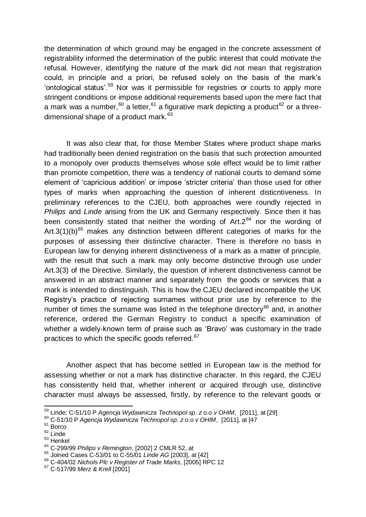the determination of which ground may be engaged in the concrete assessment of registrability informed the determination of the public interest that could motivate the refusal. However, identifying the nature of the mark did not mean that registration could, in principle and a priori, be refused solely on the basis of the mark's 'ontological status'.<sup>59</sup> Nor was it permissible for registries or courts to apply more stringent conditions or impose additional requirements based upon the mere fact that a mark was a number,  $60$  a letter,  $61$  a figurative mark depicting a product  $62$  or a threedimensional shape of a product mark.<sup>63</sup>

It was also clear that, for those Member States where product shape marks had traditionally been denied registration on the basis that such protection amounted to a monopoly over products themselves whose sole effect would be to limit rather than promote competition, there was a tendency of national courts to demand some element of 'capricious addition' or impose 'stricter criteria' than those used for other types of marks when approaching the question of inherent disticntiveness. In preliminary references to the CJEU, both approaches were roundly rejected in *Philips* and *Linde* arising from the UK and Germany respectively. Since then it has been consistently stated that neither the wording of  $Art.2<sup>64</sup>$  nor the wording of Art.3(1)(b)<sup>65</sup> makes any distinction between different categories of marks for the purposes of assessing their distinctive character. There is therefore no basis in European law for denying inherent distinctiveness of a mark as a matter of principle, with the result that such a mark may only become distinctive through use under Art.3(3) of the Directive. Similarly, the question of inherent distinctiveness cannot be answered in an abstract manner and separately from the goods or services that a mark is intended to dinstinguish. This is how the CJEU declared incompatible the UK Registry's practice of rejecting surnames without prior use by reference to the number of times the surname was listed in the telephone directory<sup>66</sup> and, in another reference, ordered the German Registry to conduct a specific examination of whether a widely-known term of praise such as 'Bravo' was customary in the trade practices to which the specific goods referred.<sup>67</sup>

Another aspect that has become settled in European law is the method for assessing whether or not a mark has distinctive character. In this regard, the CJEU has consistently held that, whether inherent or acquired through use, distinctive character must always be assessed, firstly, by reference to the relevant goods or

<sup>-</sup><sup>59</sup> Linde; C-51/10 P *Agencja Wydawnicza Technopol sp. z o.o v OHIM*, [2011], at [29]

<sup>60</sup> C-51/10 P *Agencja Wydawnicza Technopol sp. z o.o v OHIM*, [2011], at [47

 $61$  Borco

 $62$  Linde

<sup>63</sup> Henkel

<sup>64</sup> C-299/99 *Philips v Remington*, [2002] 2 CMLR 52, at

<sup>65</sup> Joined Cases C-53/01 to C-55/01 *Linde AG* [2003], at [42]

<sup>66</sup> C-404/02 *Nichols Plc v Register of Trade Marks*, [2005] RPC 12

<sup>67</sup> C-517/99 *Merz & Krell* [2001]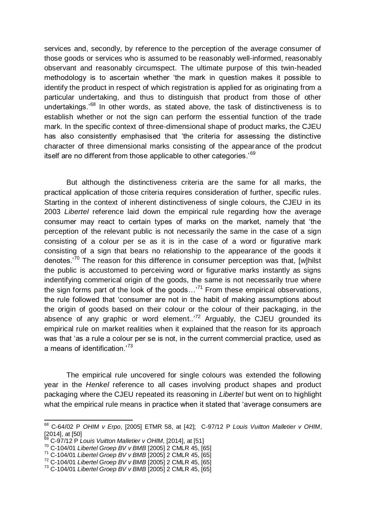services and, secondly, by reference to the perception of the average consumer of those goods or services who is assumed to be reasonably well-informed, reasonably observant and reasonably circumspect. The ultimate purpose of this twin-headed methodology is to ascertain whether 'the mark in question makes it possible to identify the product in respect of which registration is applied for as originating from a particular undertaking, and thus to distinguish that product from those of other undertakings.<sup>68</sup> In other words, as stated above, the task of distinctiveness is to establish whether or not the sign can perform the essential function of the trade mark. In the specific context of three-dimensional shape of product marks, the CJEU has also consistently emphasised that 'the criteria for assessing the distinctive character of three dimensional marks consisting of the appearance of the prodcut itself are no different from those applicable to other categories.<sup>'69</sup>

But although the distinctiveness criteria are the same for all marks, the practical application of those criteria requires consideration of further, specific rules. Starting in the context of inherent distinctiveness of single colours, the CJEU in its 2003 *Libertel* reference laid down the empirical rule regarding how the average consumer may react to certain types of marks on the market, namely that 'the perception of the relevant public is not necessarily the same in the case of a sign consisting of a colour per se as it is in the case of a word or figurative mark consisting of a sign that bears no relationship to the appearance of the goods it denotes.<sup>'70</sup> The reason for this difference in consumer perception was that, [w]hilst the public is accustomed to perceiving word or figurative marks instantly as signs indentifying commerical origin of the goods, the same is not necessarily true where the sign forms part of the look of the goods...<sup>71</sup> From these empirical observations, the rule followed that 'consumer are not in the habit of making assumptions about the origin of goods based on their colour or the colour of their packaging, in the absence of any graphic or word element.. $172$  Arguably, the CJEU grounded its empirical rule on market realities when it explained that the reason for its approach was that 'as a rule a colour per se is not, in the current commercial practice, used as a means of identification.<sup>73</sup>

The empirical rule uncovered for single colours was extended the following year in the *Henkel* reference to all cases involving product shapes and product packaging where the CJEU repeated its reasoning in *Libertel* but went on to highlight what the empirical rule means in practice when it stated that 'average consumers are

 $\overline{a}$ 

- <sup>70</sup> C-104/01 *Libertel Groep BV v BMB* [2005] 2 CMLR 45, [65]
- <sup>71</sup> C-104/01 *Libertel Groep BV v BMB* [2005] 2 CMLR 45, [65]

<sup>68</sup> C-64/02 P *OHIM v Erpo*, [2005] ETMR 58, at [42]; C-97/12 P *Louis Vuitton Malletier v OHIM*,  $[2014]$ , at  $[50]$ 

<sup>69</sup> C-97/12 P *Louis Vuitton Malletier v OHIM*, [2014], at [51]

<sup>72</sup> C-104/01 *Libertel Groep BV v BMB* [2005] 2 CMLR 45, [65]

<sup>73</sup> C-104/01 *Libertel Groep BV v BMB* [2005] 2 CMLR 45, [65]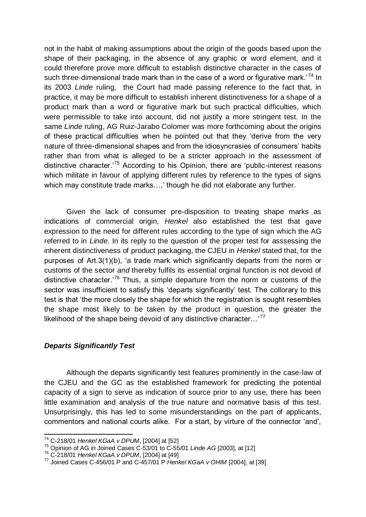not in the habit of making assumptions about the origin of the goods based upon the shape of their packaging, in the absence of any graphic or word element, and it could therefore prove more difficult to establish distinctive character in the cases of such three-dimensional trade mark than in the case of a word or figurative mark.<sup>74</sup> In its 2003 *Linde* ruling, the Court had made passing reference to the fact that, in practice, it may be more difficult to establish inherent distinctiveness for a shape of a product mark than a word or figurative mark but such practical difficulties, which were permissible to take into account, did not justify a more stringent test. In the same *Linde* ruling, AG Ruiz-Jarabo Colomer was more forthcoming about the origins of these practical difficulties when he pointed out that they 'derive from the very nature of three-dimensional shapes and from the idiosyncrasies of consumers' habits rather than from what is alleged to be a stricter approach in the assessment of distinctive character.'<sup>75</sup> According to his Opinion, there are 'public-interest reasons which militate in favour of applying different rules by reference to the types of signs which may constitute trade marks...,' though he did not elaborate any further.

Given the lack of consumer pre-disposition to treating shape marks as indications of commercial origin, *Henkel* also established the test that gave expression to the need for different rules according to the type of sign which the AG referred to in *Linde*. In its reply to the question of the proper test for asssessing the inherent distinctiveness of product packaging, the CJEU in *Henkel* stated that, for the purposes of Art.3(1)(b), 'a trade mark which significantly departs from the norm or customs of the sector *and* thereby fulfils its essential orginal function is not devoid of distinctive character.<sup>76</sup> Thus, a simple departure from the norm or customs of the sector was insufficient to satisfy this 'departs significantly' test. The collorary to this test is that 'the more closely the shape for which the registration is sought resembles the shape most likely to be taken by the product in question, the greater the likelihood of the shape being devoid of any distinctive character... $177$ 

## *Departs Significantly Test*

Although the departs significantly test features prominently in the case-law of the CJEU and the GC as the established framework for predicting the potential capacity of a sign to serve as indication of source prior to any use, there has been little examination and analysis of the true nature and normative basis of this test. Unsurprisingly, this has led to some misunderstandings on the part of applicants, commentors and national courts alike. For a start, by virture of the connector 'and',

<sup>-</sup><sup>74</sup> C-218/01 *Henkel KGaA v DPUM*, [2004] at [52]

<sup>75</sup> Opinion of AG in Joined Cases C-53/01 to C-55/01 *Linde AG* [2003], at [12]

<sup>76</sup> C-218/01 *Henkel KGaA v DPUM*, [2004] at [49]

<sup>77</sup> Joined Cases C-456/01 P and C-457/01 P *Henkel KGaA v OHIM* [2004], at [39]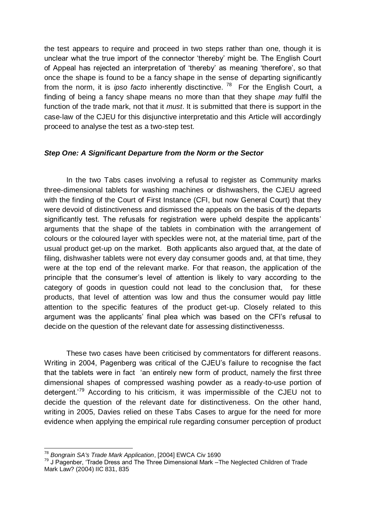the test appears to require and proceed in two steps rather than one, though it is unclear what the true import of the connector 'thereby' might be. The English Court of Appeal has rejected an interpretation of 'thereby' as meaning 'therefore', so that once the shape is found to be a fancy shape in the sense of departing significantly from the norm, it is *ipso facto* inherently disctinctive.<sup>78</sup> For the English Court, a finding of being a fancy shape means no more than that they shape *may* fulfil the function of the trade mark, not that it *must*. It is submitted that there is support in the case-law of the CJEU for this disjunctive interpretatio and this Article will accordingly proceed to analyse the test as a two-step test.

## *Step One: A Significant Departure from the Norm or the Sector*

In the two Tabs cases involving a refusal to register as Community marks three-dimensional tablets for washing machines or dishwashers, the CJEU agreed with the finding of the Court of First Instance (CFI, but now General Court) that they were devoid of distinctiveness and dismissed the appeals on the basis of the departs significantly test. The refusals for registration were upheld despite the applicants' arguments that the shape of the tablets in combination with the arrangement of colours or the coloured layer with speckles were not, at the material time, part of the usual product get-up on the market. Both applicants also argued that, at the date of filing, dishwasher tablets were not every day consumer goods and, at that time, they were at the top end of the relevant marke. For that reason, the application of the principle that the consumer's level of attention is likely to vary according to the category of goods in question could not lead to the conclusion that, for these products, that level of attention was low and thus the consumer would pay little attention to the specific features of the product get-up. Closely related to this argument was the applicants' final plea which was based on the CFI's refusal to decide on the question of the relevant date for assessing distinctivenesss.

These two cases have been criticised by commentators for different reasons. Writing in 2004, Pagenberg was critical of the CJEU's failure to recognise the fact that the tablets were in fact 'an entirely new form of product, namely the first three dimensional shapes of compressed washing powder as a ready-to-use portion of detergent.<sup>79</sup> According to his criticism, it was impermissible of the CJEU not to decide the question of the relevant date for distinctiveness. On the other hand, writing in 2005, Davies relied on these Tabs Cases to argue for the need for more evidence when applying the empirical rule regarding consumer perception of product

<u>.</u>

<sup>78</sup> *Bongrain SA's Trade Mark Application*, [2004] EWCA Civ 1690

<sup>&</sup>lt;sup>79</sup> J Pagenber, 'Trade Dress and The Three Dimensional Mark –The Neglected Children of Trade Mark Law? (2004) IIC 831, 835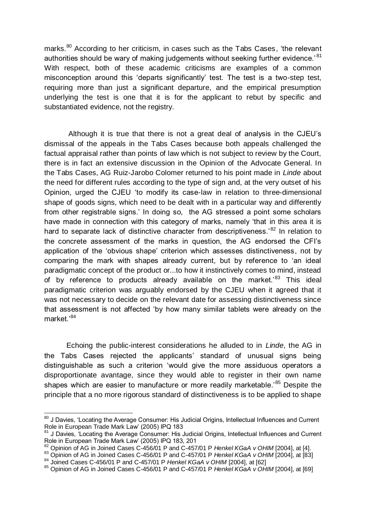marks.<sup>80</sup> According to her criticism, in cases such as the Tabs Cases, 'the relevant authorities should be wary of making judgements without seeking further evidence.<sup>81</sup> With respect, both of these academic criticisms are examples of a common misconception around this 'departs significantly' test. The test is a two-step test, requiring more than just a significant departure, and the empirical presumption underlying the test is one that it is for the applicant to rebut by specific and substantiated evidence, not the registry.

Although it is true that there is not a great deal of analysis in the CJEU's dismissal of the appeals in the Tabs Cases because both appeals challenged the factual appraisal rather than points of law which is not subject to review by the Court, there is in fact an extensive discussion in the Opinion of the Advocate General. In the Tabs Cases, AG Ruiz-Jarobo Colomer returned to his point made in *Linde* about the need for different rules according to the type of sign and, at the very outset of his Opinion, urged the CJEU 'to modify its case-law in relation to three-dimensional shape of goods signs, which need to be dealt with in a particular way and differently from other registrable signs.' In doing so, the AG stressed a point some scholars have made in connection with this category of marks, namely 'that in this area it is hard to separate lack of distinctive character from descriptiveness.<sup>82</sup> In relation to the concrete assessment of the marks in question, the AG endorsed the CFI's application of the 'obvious shape' criterion which assesses distinctiveness, not by comparing the mark with shapes already current, but by reference to 'an ideal paradigmatic concept of the product or...to how it instinctively comes to mind, instead of by reference to products already available on the market.<sup>83</sup> This ideal paradigmatic criterion was arguably endorsed by the CJEU when it agreed that it was not necessary to decide on the relevant date for assessing distinctiveness since that assessment is not affected 'by how many similar tablets were already on the market.'<sup>84</sup>

Echoing the public-interest considerations he alluded to in *Linde*, the AG in the Tabs Cases rejected the applicants' standard of unusual signs being distinguishable as such a criterion 'would give the more assiduous operators a disproportionate avantage, since they would able to register in their own name shapes which are easier to manufacture or more readily marketable.<sup>85</sup> Despite the principle that a no more rigorous standard of distinctiveness is to be applied to shape

 $\overline{a}$ <sup>80</sup> J Davies, 'Locating the Average Consumer: His Judicial Origins, Intellectual Influences and Current Role in European Trade Mark Law' (2005) IPQ 183

J Davies, 'Locating the Average Consumer: His Judicial Origins, Intellectual Influences and Current Role in European Trade Mark Law' (2005) IPQ 183, 201

<sup>82</sup> Opinion of AG in Joined Cases C-456/01 P and C-457/01 P *Henkel KGaA v OHIM* [2004], at [4].

<sup>83</sup> Opinion of AG in Joined Cases C-456/01 P and C-457/01 P *Henkel KGaA v OHIM* [2004], at [83]

<sup>84</sup> Joined Cases C-456/01 P and C-457/01 P *Henkel KGaA v OHIM* [2004], at [62]

<sup>85</sup> Opinion of AG in Joined Cases C-456/01 P and C-457/01 P *Henkel KGaA v OHIM* [2004], at [69]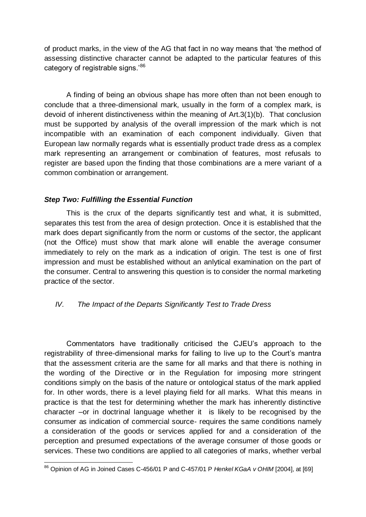of product marks, in the view of the AG that fact in no way means that 'the method of assessing distinctive character cannot be adapted to the particular features of this category of registrable signs.'86

A finding of being an obvious shape has more often than not been enough to conclude that a three-dimensional mark, usually in the form of a complex mark, is devoid of inherent distinctiveness within the meaning of Art.3(1)(b). That conclusion must be supported by analysis of the overall impression of the mark which is not incompatible with an examination of each component individually. Given that European law normally regards what is essentially product trade dress as a complex mark representing an arrangement or combination of features, most refusals to register are based upon the finding that those combinations are a mere variant of a common combination or arrangement.

## *Step Two: Fulfilling the Essential Function*

This is the crux of the departs significantly test and what, it is submitted, separates this test from the area of design protection. Once it is established that the mark does depart significantly from the norm or customs of the sector, the applicant (not the Office) must show that mark alone will enable the average consumer immediately to rely on the mark as a indication of origin. The test is one of first impression and must be established without an anlytical examination on the part of the consumer. Central to answering this question is to consider the normal marketing practice of the sector.

# *IV. The Impact of the Departs Significantly Test to Trade Dress*

Commentators have traditionally criticised the CJEU's approach to the registrability of three-dimensional marks for failing to live up to the Court's mantra that the assessment criteria are the same for all marks and that there is nothing in the wording of the Directive or in the Regulation for imposing more stringent conditions simply on the basis of the nature or ontological status of the mark applied for. In other words, there is a level playing field for all marks. What this means in practice is that the test for determining whether the mark has inherently distinctive character –or in doctrinal language whether it is likely to be recognised by the consumer as indication of commercial source- requires the same conditions namely a consideration of the goods or services applied for and a consideration of the perception and presumed expectations of the average consumer of those goods or services. These two conditions are applied to all categories of marks, whether verbal

<sup>-</sup><sup>86</sup> Opinion of AG in Joined Cases C-456/01 P and C-457/01 P *Henkel KGaA v OHIM* [2004], at [69]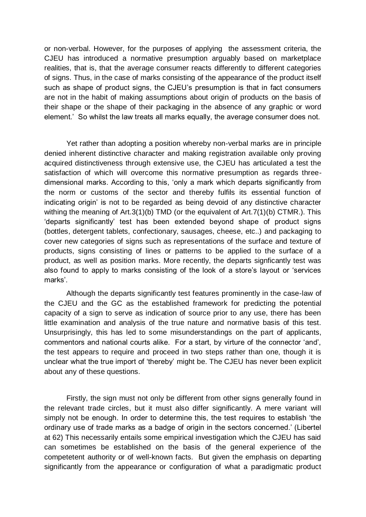or non-verbal. However, for the purposes of applying the assessment criteria, the CJEU has introduced a normative presumption arguably based on marketplace realities, that is, that the average consumer reacts differently to different categories of signs. Thus, in the case of marks consisting of the appearance of the product itself such as shape of product signs, the CJEU's presumption is that in fact consumers are not in the habit of making assumptions about origin of products on the basis of their shape or the shape of their packaging in the absence of any graphic or word element.' So whilst the law treats all marks equally, the average consumer does not.

Yet rather than adopting a position whereby non-verbal marks are in principle denied inherent distinctive character and making registration available only proving acquired distinctiveness through extensive use, the CJEU has articulated a test the satisfaction of which will overcome this normative presumption as regards threedimensional marks. According to this, 'only a mark which departs significantly from the norm or customs of the sector and thereby fulfils its essential function of indicating origin' is not to be regarded as being devoid of any distinctive character withing the meaning of Art.3(1)(b) TMD (or the equivalent of Art.7(1)(b) CTMR.). This 'departs significantly' test has been extended beyond shape of product signs (bottles, detergent tablets, confectionary, sausages, cheese, etc..) and packaging to cover new categories of signs such as representations of the surface and texture of products, signs consisting of lines or patterns to be applied to the surface of a product, as well as position marks. More recently, the departs signficantly test was also found to apply to marks consisting of the look of a store's layout or 'services marks'.

Although the departs significantly test features prominently in the case-law of the CJEU and the GC as the established framework for predicting the potential capacity of a sign to serve as indication of source prior to any use, there has been little examination and analysis of the true nature and normative basis of this test. Unsurprisingly, this has led to some misunderstandings on the part of applicants, commentors and national courts alike. For a start, by virture of the connector 'and', the test appears to require and proceed in two steps rather than one, though it is unclear what the true import of 'thereby' might be. The CJEU has never been explicit about any of these questions.

Firstly, the sign must not only be different from other signs generally found in the relevant trade circles, but it must also differ significantly. A mere variant will simply not be enough. In order to determine this, the test requires to establish 'the ordinary use of trade marks as a badge of origin in the sectors concerned.' (Libertel at 62) This necessarily entails some empirical investigation which the CJEU has said can sometimes be established on the basis of the general experience of the competetent authority or of well-known facts. But given the emphasis on departing significantly from the appearance or configuration of what a paradigmatic product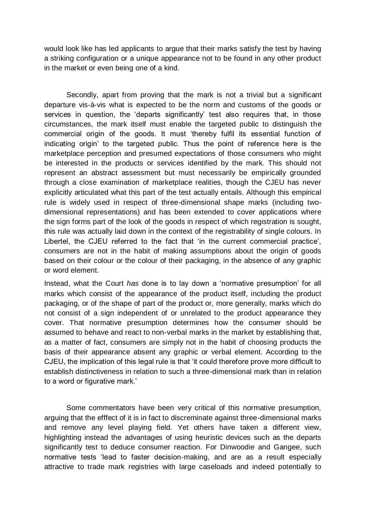would look like has led applicants to argue that their marks satisfy the test by having a striking configuration or a unique appearance not to be found in any other product in the market or even being one of a kind.

Secondly, apart from proving that the mark is not a trivial but a significant departure vis-à-vis what is expected to be the norm and customs of the goods or services in question, the 'departs significantly' test also requires that, in those circumstances, the mark itself must enable the targeted public to distinguish the commercial origin of the goods. It must 'thereby fulfil its essential function of indicating origin' to the targeted public. Thus the point of reference here is the marketplace perception and presumed expectations of those consumers who might be interested in the products or services identified by the mark. This should not represent an abstract assessment but must necessarily be empirically grounded through a close examination of marketplace realities, though the CJEU has never explicitly articulated what this part of the test actually entails. Although this empirical rule is widely used in respect of three-dimensional shape marks (including twodimensional representations) and has been extended to cover applications where the sign forms part of the look of the goods in respect of which registration is sought, this rule was actually laid down in the context of the registrability of single colours. In Libertel, the CJEU referred to the fact that 'in the current commercial practice', consumers are not in the habit of making assumptions about the origin of goods based on their colour or the colour of their packaging, in the absence of any graphic or word element.

Instead, what the Court *has* done is to lay down a 'normative presumption' for all marks which consist of the appearance of the product itself, including the product packaging, or of the shape of part of the product or, more generally, marks which do not consist of a sign independent of or unrelated to the product appearance they cover. That normative presumption determines how the consumer should be assumed to behave and react to non-verbal marks in the market by establishing that, as a matter of fact, consumers are simply not in the habit of choosing products the basis of their appearance absent any graphic or verbal element. According to the CJEU, the implication of this legal rule is that 'it could therefore prove more difficult to establish distinctiveness in relation to such a three-dimensional mark than in relation to a word or figurative mark.'

Some commentators have been very critical of this normative presumption, arguing that the efffect of it is in fact to discreminate against three-dimensional marks and remove any level playing field. Yet others have taken a different view, highlighting instead the advantages of using heuristic devices such as the departs significantly test to deduce consumer reaction. For Dinwoodie and Gangee, such normative tests 'lead to faster decision-making, and are as a result especially attractive to trade mark registries with large caseloads and indeed potentially to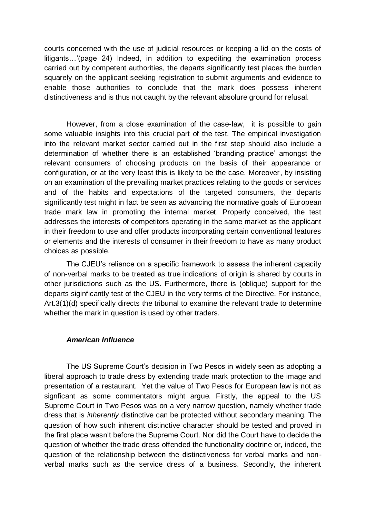courts concerned with the use of judicial resources or keeping a lid on the costs of litigants…'(page 24) Indeed, in addition to expediting the examination process carried out by competent authorities, the departs significantly test places the burden squarely on the applicant seeking registration to submit arguments and evidence to enable those authorities to conclude that the mark does possess inherent distinctiveness and is thus not caught by the relevant absolure ground for refusal.

However, from a close examination of the case-law, it is possible to gain some valuable insights into this crucial part of the test. The empirical investigation into the relevant market sector carried out in the first step should also include a determination of whether there is an established 'branding practice' amongst the relevant consumers of choosing products on the basis of their appearance or configuration, or at the very least this is likely to be the case. Moreover, by insisting on an examination of the prevailing market practices relating to the goods or services and of the habits and expectations of the targeted consumers, the departs significantly test might in fact be seen as advancing the normative goals of European trade mark law in promoting the internal market. Properly conceived, the test addresses the interests of competitors operating in the same market as the applicant in their freedom to use and offer products incorporating certain conventional features or elements and the interests of consumer in their freedom to have as many product choices as possible.

The CJEU's reliance on a specific framework to assess the inherent capacity of non-verbal marks to be treated as true indications of origin is shared by courts in other jurisdictions such as the US. Furthermore, there is (oblique) support for the departs siginficantly test of the CJEU in the very terms of the Directive. For instance, Art.3(1)(d) specifically directs the tribunal to examine the relevant trade to determine whether the mark in question is used by other traders.

### *American Influence*

The US Supreme Court's decision in Two Pesos in widely seen as adopting a liberal approach to trade dress by extending trade mark protection to the image and presentation of a restaurant. Yet the value of Two Pesos for European law is not as signficant as some commentators might argue. Firstly, the appeal to the US Supreme Court in Two Pesos was on a very narrow question, namely whether trade dress that is *inherently* distinctive can be protected without secondary meaning. The question of how such inherent distinctive character should be tested and proved in the first place wasn't before the Supreme Court. Nor did the Court have to decide the question of whether the trade dress offended the functionality doctrine or, indeed, the question of the relationship between the distinctiveness for verbal marks and nonverbal marks such as the service dress of a business. Secondly, the inherent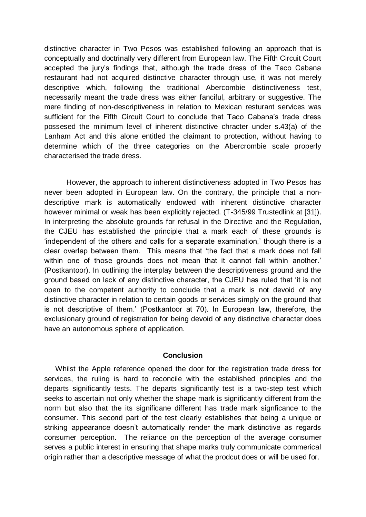distinctive character in Two Pesos was established following an approach that is conceptually and doctrinally very different from European law. The Fifth Circuit Court accepted the jury's findings that, although the trade dress of the Taco Cabana restaurant had not acquired distinctive character through use, it was not merely descriptive which, following the traditional Abercombie distinctiveness test, necessarily meant the trade dress was either fanciful, arbitrary or suggestive. The mere finding of non-descriptiveness in relation to Mexican resturant services was sufficient for the Fifth Circuit Court to conclude that Taco Cabana's trade dress possesed the minimum level of inherent distinctive chracter under s.43(a) of the Lanham Act and this alone entitled the claimant to protection, without having to determine which of the three categories on the Abercrombie scale properly characterised the trade dress.

However, the approach to inherent distinctiveness adopted in Two Pesos has never been adopted in European law. On the contrary, the principle that a nondescriptive mark is automatically endowed with inherent distinctive character however minimal or weak has been explicitly rejected. (T-345/99 Trustedlink at [31]). In interpreting the absolute grounds for refusal in the Directive and the Regulation, the CJEU has established the principle that a mark each of these grounds is 'independent of the others and calls for a separate examination,' though there is a clear overlap between them. This means that 'the fact that a mark does not fall within one of those grounds does not mean that it cannot fall within another.' (Postkantoor). In outlining the interplay between the descriptiveness ground and the ground based on lack of any distinctive character, the CJEU has ruled that 'it is not open to the competent authority to conclude that a mark is not devoid of any distinctive character in relation to certain goods or services simply on the ground that is not descriptive of them.' (Postkantoor at 70). In European law, therefore, the exclusionary ground of registration for being devoid of any distinctive character does have an autonomous sphere of application.

#### **Conclusion**

Whilst the Apple reference opened the door for the registration trade dress for services, the ruling is hard to reconcile with the established principles and the departs significantly tests. The departs significantly test is a two-step test which seeks to ascertain not only whether the shape mark is significantly different from the norm but also that the its significane different has trade mark signficance to the consumer. This second part of the test clearly establishes that being a unique or striking appearance doesn't automatically render the mark distinctive as regards consumer perception. The reliance on the perception of the average consumer serves a public interest in ensuring that shape marks truly communicate commerical origin rather than a descriptive message of what the prodcut does or will be used for.